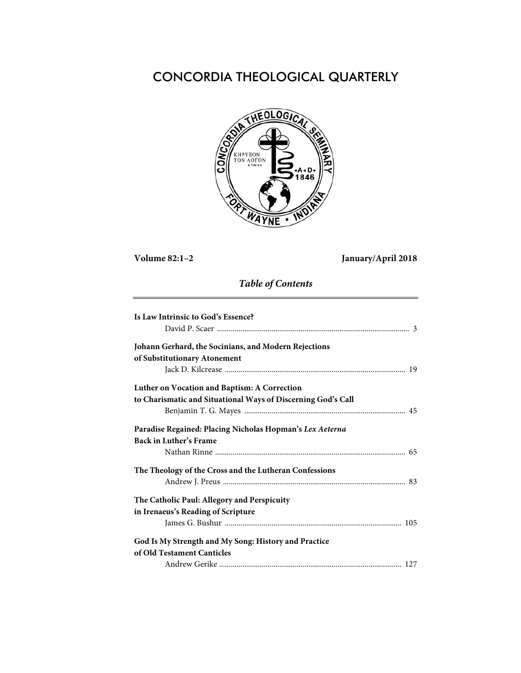# CONCORDIA THEOLOGICAL QUARTERLY



# **Volume 82:1–2 January/April 2018**

# *Table of Contents*

| Is Law Intrinsic to God's Essence?                           |
|--------------------------------------------------------------|
|                                                              |
| Johann Gerhard, the Socinians, and Modern Rejections         |
| of Substitutionary Atonement                                 |
|                                                              |
| Luther on Vocation and Baptism: A Correction                 |
| to Charismatic and Situational Ways of Discerning God's Call |
|                                                              |
| Paradise Regained: Placing Nicholas Hopman's Lex Aeterna     |
| Back in Luther's Frame                                       |
|                                                              |
| The Theology of the Cross and the Lutheran Confessions       |
|                                                              |
| The Catholic Paul: Allegory and Perspicuity                  |
| in Irenaeus's Reading of Scripture                           |
|                                                              |
| God Is My Strength and My Song: History and Practice         |
| of Old Testament Canticles                                   |
|                                                              |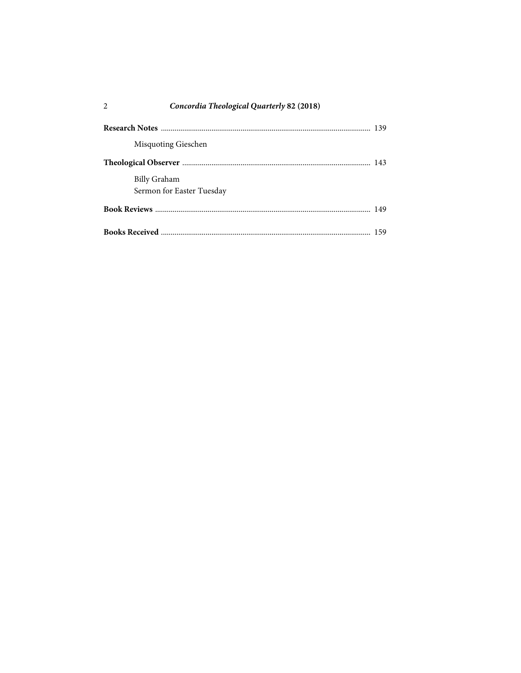| Concordia Theological Quarterly 82 (2018)<br>$\mathfrak{D}$ |  |
|-------------------------------------------------------------|--|
|                                                             |  |
| Misquoting Gieschen                                         |  |
|                                                             |  |
| Billy Graham<br>Sermon for Easter Tuesday                   |  |
|                                                             |  |
|                                                             |  |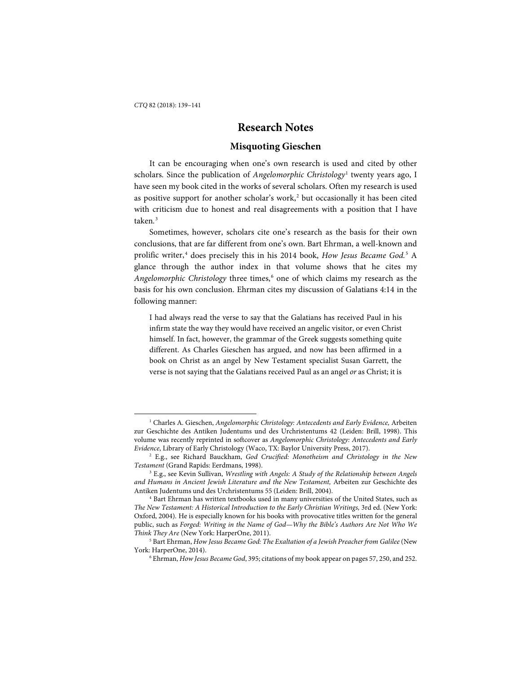-

## **Research Notes**

### **Misquoting Gieschen**

It can be encouraging when one's own research is used and cited by other scholars. Since the publication of *Angelomorphic Christology*[1](#page-2-0) twenty years ago, I have seen my book cited in the works of several scholars. Often my research is used as positive support for another scholar's work,<sup>[2](#page-2-1)</sup> but occasionally it has been cited with criticism due to honest and real disagreements with a position that I have taken.<sup>[3](#page-2-2)</sup>

Sometimes, however, scholars cite one's research as the basis for their own conclusions, that are far different from one's own. Bart Ehrman, a well-known and prolific writer, [4](#page-2-3) does precisely this in his 2014 book, *How Jesus Became God.*[5](#page-2-4) A glance through the author index in that volume shows that he cites my *Angelomorphic Christology* three times,<sup>[6](#page-2-5)</sup> one of which claims my research as the basis for his own conclusion. Ehrman cites my discussion of Galatians 4:14 in the following manner:

I had always read the verse to say that the Galatians has received Paul in his infirm state the way they would have received an angelic visitor, or even Christ himself. In fact, however, the grammar of the Greek suggests something quite different. As Charles Gieschen has argued, and now has been affirmed in a book on Christ as an angel by New Testament specialist Susan Garrett, the verse is not saying that the Galatians received Paul as an angel *or* as Christ; it is

<span id="page-2-0"></span><sup>&</sup>lt;sup>1</sup> Charles A. Gieschen, *Angelomorphic Christology: Antecedents and Early Evidence*, Arbeiten zur Geschichte des Antiken Judentums und des Urchristentums 42 (Leiden: Brill, 1998). This volume was recently reprinted in softcover as *Angelomorphic Christology: Antecedents and Early Evidence*, Library of Early Christology (Waco, TX: Baylor University Press, 2017).

<span id="page-2-1"></span><sup>2</sup> E.g., see Richard Bauckham, *God Crucified: Monotheism and Christology in the New Testament* (Grand Rapids: Eerdmans, 1998).

<span id="page-2-2"></span><sup>3</sup> E.g., see Kevin Sullivan, *Wrestling with Angels: A Study of the Relationship between Angels and Humans in Ancient Jewish Literature and the New Testament,* Arbeiten zur Geschichte des Antiken Judentums und des Urchristentums 55 (Leiden: Brill, 2004).

<span id="page-2-3"></span><sup>4</sup> Bart Ehrman has written textbooks used in many universities of the United States, such as *The New Testament: A Historical Introduction to the Early Christian Writings,* 3rd ed. (New York: Oxford, 2004)*.* He is especially known for his books with provocative titles written for the general public, such as *Forged: Writing in the Name of God—Why the Bible's Authors Are Not Who We Think They Are* (New York: HarperOne, 2011).

<span id="page-2-5"></span><span id="page-2-4"></span><sup>5</sup> Bart Ehrman, *How Jesus Became God: The Exaltation of a Jewish Preacher from Galilee* (New York: HarperOne, 2014).

<sup>6</sup> Ehrman, *How Jesus Became God*, 395; citations of my book appear on pages 57, 250, and 252.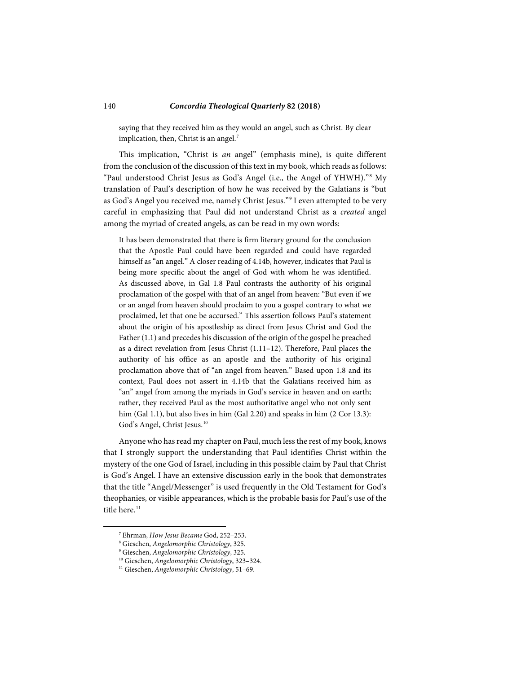### 140 *Concordia Theological Quarterly* **82 (2018)**

saying that they received him as they would an angel, such as Christ. By clear implication, then, Christ is an angel.<sup>[7](#page-3-0)</sup>

This implication, "Christ is *an* angel" (emphasis mine), is quite different from the conclusion of the discussion of this text in my book, which reads asfollows: "Paul understood Christ Jesus as God's Angel (i.e., the Angel of YHWH)."[8](#page-3-1) My translation of Paul's description of how he was received by the Galatians is "but as God's Angel you received me, namely Christ Jesus."<sup>[9](#page-3-2)</sup> I even attempted to be very careful in emphasizing that Paul did not understand Christ as a *created* angel among the myriad of created angels, as can be read in my own words:

It has been demonstrated that there is firm literary ground for the conclusion that the Apostle Paul could have been regarded and could have regarded himself as "an angel." A closer reading of 4.14b, however, indicates that Paul is being more specific about the angel of God with whom he was identified. As discussed above, in Gal 1.8 Paul contrasts the authority of his original proclamation of the gospel with that of an angel from heaven: "But even if we or an angel from heaven should proclaim to you a gospel contrary to what we proclaimed, let that one be accursed." This assertion follows Paul's statement about the origin of his apostleship as direct from Jesus Christ and God the Father (1.1) and precedes his discussion of the origin of the gospel he preached as a direct revelation from Jesus Christ (1.11–12). Therefore, Paul places the authority of his office as an apostle and the authority of his original proclamation above that of "an angel from heaven." Based upon 1.8 and its context, Paul does not assert in 4.14b that the Galatians received him as "an" angel from among the myriads in God's service in heaven and on earth; rather, they received Paul as the most authoritative angel who not only sent him (Gal 1.1), but also lives in him (Gal 2.20) and speaks in him (2 Cor 13.3): God's Angel, Christ Jesus.<sup>[10](#page-3-3)</sup>

Anyone who has read my chapter on Paul, much less the rest of my book, knows that I strongly support the understanding that Paul identifies Christ within the mystery of the one God of Israel, including in this possible claim by Paul that Christ is God's Angel. I have an extensive discussion early in the book that demonstrates that the title "Angel/Messenger" is used frequently in the Old Testament for God's theophanies, or visible appearances, which is the probable basis for Paul's use of the title here. $11$ 

<span id="page-3-4"></span><span id="page-3-3"></span><span id="page-3-2"></span><span id="page-3-1"></span><span id="page-3-0"></span>-

<sup>7</sup> Ehrman, *How Jesus Became* God, 252–253.

<sup>8</sup> Gieschen, *Angelomorphic Christology*, 325. 9 Gieschen, *Angelomorphic Christology*, 325.

<sup>10</sup> Gieschen, *Angelomorphic Christology*, 323–324.

<sup>11</sup> Gieschen, *Angelomorphic Christology*, 51–69.